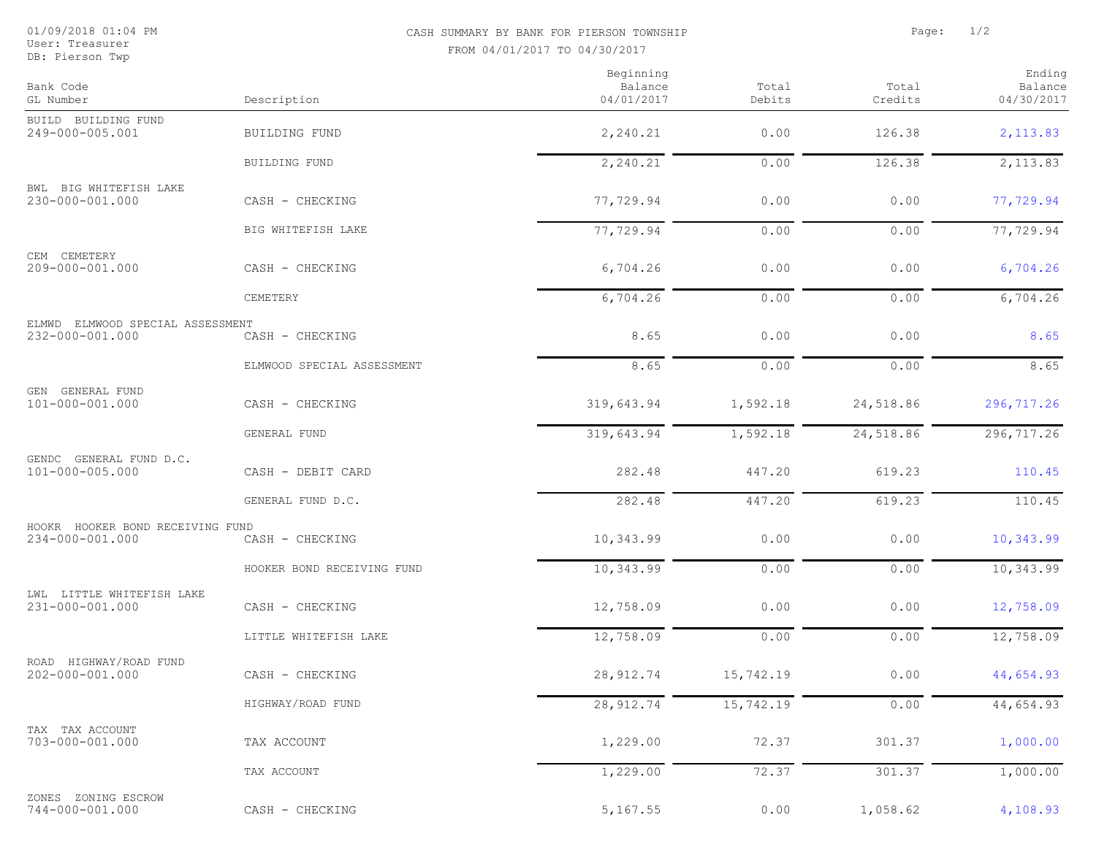User: Treasurer<br>DB: Pierson Twp

## 01/09/2018 01:04 PM CASH SUMMARY BY BANK FOR PIERSON TOWNSHIP Page: 1/2 FROM 04/01/2017 TO 04/30/2017

| Bank Code<br>GL Number                              | Description                | Beginning<br>Balance<br>04/01/2017 | Total<br>Debits | Total<br>Credits | Ending<br>Balance<br>04/30/2017 |
|-----------------------------------------------------|----------------------------|------------------------------------|-----------------|------------------|---------------------------------|
| BUILD BUILDING FUND                                 |                            |                                    |                 |                  |                                 |
| 249-000-005.001                                     | BUILDING FUND              | 2,240.21                           | 0.00            | 126.38           | 2,113.83                        |
|                                                     | BUILDING FUND              | 2,240.21                           | 0.00            | 126.38           | 2,113.83                        |
| BWL BIG WHITEFISH LAKE<br>230-000-001.000           | CASH - CHECKING            | 77,729.94                          | 0.00            | 0.00             | 77,729.94                       |
|                                                     | BIG WHITEFISH LAKE         | 77,729.94                          | 0.00            | 0.00             | 77,729.94                       |
| CEM CEMETERY<br>209-000-001.000                     | CASH - CHECKING            | 6,704.26                           | 0.00            | 0.00             | 6,704.26                        |
|                                                     | CEMETERY                   | 6,704.26                           | 0.00            | 0.00             | 6,704.26                        |
| ELMWD ELMWOOD SPECIAL ASSESSMENT<br>232-000-001.000 | CASH - CHECKING            | 8.65                               | 0.00            | 0.00             | 8.65                            |
|                                                     | ELMWOOD SPECIAL ASSESSMENT | 8.65                               | 0.00            | 0.00             | 8.65                            |
| GEN GENERAL FUND<br>101-000-001.000                 | CASH - CHECKING            | 319,643.94                         | 1,592.18        | 24,518.86        | 296,717.26                      |
|                                                     | GENERAL FUND               | 319,643.94                         | 1,592.18        | 24,518.86        | 296,717.26                      |
| GENDC GENERAL FUND D.C.<br>101-000-005.000          | CASH - DEBIT CARD          | 282.48                             | 447.20          | 619.23           | 110.45                          |
|                                                     | GENERAL FUND D.C.          | 282.48                             | 447.20          | 619.23           | 110.45                          |
| HOOKR HOOKER BOND RECEIVING FUND<br>234-000-001.000 | CASH - CHECKING            | 10,343.99                          | 0.00            | 0.00             | 10,343.99                       |
|                                                     | HOOKER BOND RECEIVING FUND | 10,343.99                          | 0.00            | 0.00             | 10,343.99                       |
| LWL LITTLE WHITEFISH LAKE<br>231-000-001.000        | CASH - CHECKING            | 12,758.09                          | 0.00            | 0.00             | 12,758.09                       |
|                                                     | LITTLE WHITEFISH LAKE      | 12,758.09                          | 0.00            | 0.00             | 12,758.09                       |
| ROAD HIGHWAY/ROAD FUND<br>202-000-001.000           | CASH - CHECKING            | 28, 912.74                         | 15,742.19       | 0.00             | 44,654.93                       |
|                                                     | HIGHWAY/ROAD FUND          | 28, 912.74                         | 15,742.19       | 0.00             | 44,654.93                       |
| TAX TAX ACCOUNT<br>703-000-001.000                  | TAX ACCOUNT                | 1,229.00                           | 72.37           | 301.37           | 1,000.00                        |
|                                                     | TAX ACCOUNT                | 1,229.00                           | 72.37           | 301.37           | 1,000.00                        |
| ZONES ZONING ESCROW<br>744-000-001.000              | CASH - CHECKING            | 5,167.55                           | 0.00            | 1,058.62         | 4,108.93                        |